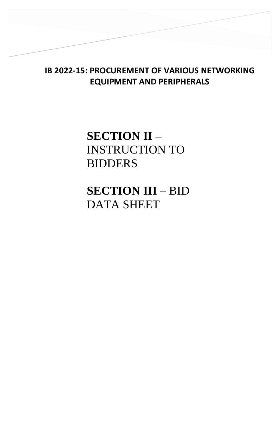## **IB 2022-15: PROCUREMENT OF VARIOUS NETWORKING EQUIPMENT AND PERIPHERALS**

# **SECTION II –** INSTRUCTION TO BIDDERS

**SECTION III** – BID DATA SHEET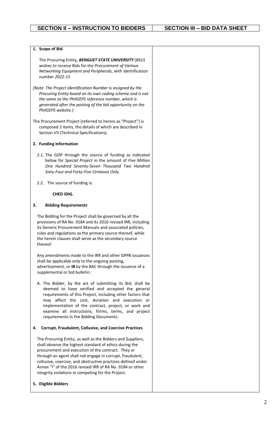| 1. Scope of Bid                                                                                                                                                                                                                                                                                                                                                                                                              |  |
|------------------------------------------------------------------------------------------------------------------------------------------------------------------------------------------------------------------------------------------------------------------------------------------------------------------------------------------------------------------------------------------------------------------------------|--|
| The Procuring Entity, BENGUET STATE UNIVERSITY (BSU)<br>wishes to receive Bids for the Procurement of Various<br>Networking Equipment and Peripherals, with identification<br>number 2022-15                                                                                                                                                                                                                                 |  |
| [Note: The Project Identification Number is assigned by the<br>Procuring Entity based on its own coding scheme and is not<br>the same as the PhilGEPS reference number, which is<br>generated after the posting of the bid opportunity on the<br>PhilGEPS website.]                                                                                                                                                          |  |
| The Procurement Project (referred to herein as "Project") is<br>composed 2 items, the details of which are described in<br>Section VII (Technical Specifications).                                                                                                                                                                                                                                                           |  |
| 2. Funding Information                                                                                                                                                                                                                                                                                                                                                                                                       |  |
| 2.1. The GOP through the source of funding as indicated<br>below for Special Project in the amount of Five Million<br>One Hundred Seventy-Seven Thousand Two Hundred<br>Sixty-Four and Forty-Five Centavos Only.                                                                                                                                                                                                             |  |
| 2.2. The source of funding is:                                                                                                                                                                                                                                                                                                                                                                                               |  |
| <b>CHED IDIG.</b>                                                                                                                                                                                                                                                                                                                                                                                                            |  |
| 3.<br><b>Bidding Requirements</b>                                                                                                                                                                                                                                                                                                                                                                                            |  |
| The Bidding for the Project shall be governed by all the<br>provisions of RA No. 9184 and its 2016 revised IRR, including<br>its Generic Procurement Manuals and associated policies,<br>rules and regulations as the primary source thereof, while<br>the herein clauses shall serve as the secondary source<br>thereof.                                                                                                    |  |
| Any amendments made to the IRR and other GPPB issuances<br>shall be applicable only to the ongoing posting,<br>advertisement, or IB by the BAC through the issuance of a<br>supplemental or bid bulletin.                                                                                                                                                                                                                    |  |
| A. The Bidder, by the act of submitting its Bid, shall be<br>deemed to have verified and accepted the general<br>requirements of this Project, including other factors that<br>may affect the cost, duration and execution or<br>implementation of the contract, project, or work and<br>examine all instructions, forms, terms, and project<br>requirements in the Bidding Documents.                                       |  |
| <b>Corrupt, Fraudulent, Collusive, and Coercive Practices</b><br>4.                                                                                                                                                                                                                                                                                                                                                          |  |
| The Procuring Entity, as well as the Bidders and Suppliers,<br>shall observe the highest standard of ethics during the<br>procurement and execution of the contract. They or<br>through an agent shall not engage in corrupt, fraudulent,<br>collusive, coercive, and obstructive practices defined under<br>Annex "I" of the 2016 revised IRR of RA No. 9184 or other<br>integrity violations in competing for the Project. |  |
| 5. Eligible Bidders                                                                                                                                                                                                                                                                                                                                                                                                          |  |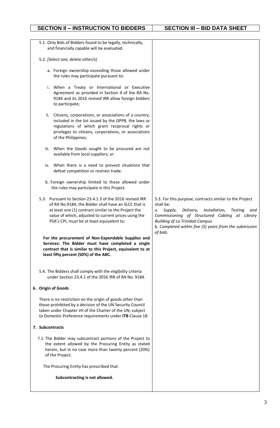### **SECTION II – INSTRUCTION TO BIDDERS** | SECTION III – BID DATA SHEET

| 5.1. Only Bids of Bidders found to be legally, technically,<br>and financially capable will be evaluated.                                                                                                                                                                       |                                                                                                                                                                                                                                                                                                     |
|---------------------------------------------------------------------------------------------------------------------------------------------------------------------------------------------------------------------------------------------------------------------------------|-----------------------------------------------------------------------------------------------------------------------------------------------------------------------------------------------------------------------------------------------------------------------------------------------------|
| 5.2. [Select one, delete other/s]                                                                                                                                                                                                                                               |                                                                                                                                                                                                                                                                                                     |
| a. Foreign ownership exceeding those allowed under<br>the rules may participate pursuant to:                                                                                                                                                                                    |                                                                                                                                                                                                                                                                                                     |
| i. When a Treaty or International or Executive<br>Agreement as provided in Section 4 of the RA No.<br>9184 and its 2016 revised IRR allow foreign bidders<br>to participate;                                                                                                    |                                                                                                                                                                                                                                                                                                     |
| Citizens, corporations, or associations of a country,<br>ii.<br>included in the list issued by the GPPB, the laws or<br>regulations of which grant reciprocal rights or<br>privileges to citizens, corporations, or associations<br>of the Philippines;                         |                                                                                                                                                                                                                                                                                                     |
| iii. When the Goods sought to be procured are not<br>available from local suppliers; or                                                                                                                                                                                         |                                                                                                                                                                                                                                                                                                     |
| iv. When there is a need to prevent situations that<br>defeat competition or restrain trade.                                                                                                                                                                                    |                                                                                                                                                                                                                                                                                                     |
| b. Foreign ownership limited to those allowed under<br>the rules may participate in this Project.                                                                                                                                                                               |                                                                                                                                                                                                                                                                                                     |
| 5.3. Pursuant to Section 23.4.1.3 of the 2016 revised IRR<br>of RA No.9184, the Bidder shall have an SLCC that is<br>at least one (1) contract similar to the Project the<br>value of which, adjusted to current prices using the<br>PSA's CPI, must be at least equivalent to: | 5.3. For this purpose, contracts similar to the Project<br>shall be:<br>Delivery, Installation,<br>Supply,<br>Testing<br>and<br>а.<br>Commissioning of Structured Cabling at Library<br><b>Building of La Trinidad Campus</b><br>b. Completed within five (5) years from the submission<br>of bids. |
| For the procurement of Non-Expendable Supplies and<br>Services: The Bidder must have completed a single<br>contract that is similar to this Project, equivalent to at<br>least fifty percent (50%) of the ABC.                                                                  |                                                                                                                                                                                                                                                                                                     |
| 5.4. The Bidders shall comply with the eligibility criteria<br>under Section 23.4.1 of the 2016 IRR of RA No. 9184.                                                                                                                                                             |                                                                                                                                                                                                                                                                                                     |
| 6. Origin of Goods                                                                                                                                                                                                                                                              |                                                                                                                                                                                                                                                                                                     |
| There is no restriction on the origin of goods other than<br>those prohibited by a decision of the UN Security Council<br>taken under Chapter VII of the Charter of the UN, subject<br>to Domestic Preference requirements under ITB Clause 18.                                 |                                                                                                                                                                                                                                                                                                     |
| 7. Subcontracts                                                                                                                                                                                                                                                                 |                                                                                                                                                                                                                                                                                                     |
| 7.1. The Bidder may subcontract portions of the Project to<br>the extent allowed by the Procuring Entity as stated<br>herein, but in no case more than twenty percent (20%)<br>of the Project.                                                                                  |                                                                                                                                                                                                                                                                                                     |
| The Procuring Entity has prescribed that:                                                                                                                                                                                                                                       |                                                                                                                                                                                                                                                                                                     |
| Subcontracting is not allowed.                                                                                                                                                                                                                                                  |                                                                                                                                                                                                                                                                                                     |
|                                                                                                                                                                                                                                                                                 |                                                                                                                                                                                                                                                                                                     |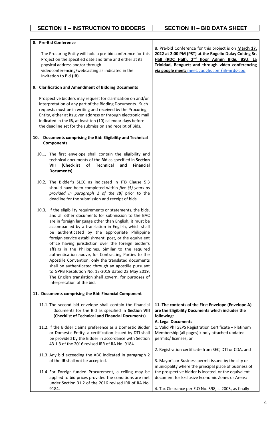| 8. Pre-Bid Conference                                                                                                                                                                                                                                                                                                                                                                                                                                                                                                                                                                                                                                                                                                                                                               |                                                                                                                                                                                                                                                                                      |
|-------------------------------------------------------------------------------------------------------------------------------------------------------------------------------------------------------------------------------------------------------------------------------------------------------------------------------------------------------------------------------------------------------------------------------------------------------------------------------------------------------------------------------------------------------------------------------------------------------------------------------------------------------------------------------------------------------------------------------------------------------------------------------------|--------------------------------------------------------------------------------------------------------------------------------------------------------------------------------------------------------------------------------------------------------------------------------------|
| The Procuring Entity will hold a pre-bid conference for this<br>Project on the specified date and time and either at its<br>physical address and/or through<br>videoconferencing/webcasting as indicated in the<br>Invitation to Bid (IB).                                                                                                                                                                                                                                                                                                                                                                                                                                                                                                                                          | 8. Pre-bid Conference for this project is on March 17,<br>2022 at 2:00 PM (PST) at the Rogelio Dulay Colting Sr.<br>Hall (RDC Hall), 2 <sup>nd</sup> floor Admin Bldg. BSU, La<br>Trinidad, Benguet; and through video conferencing<br>via google meet: meet.google.com/iih-nrds-cpo |
| 9. Clarification and Amendment of Bidding Documents                                                                                                                                                                                                                                                                                                                                                                                                                                                                                                                                                                                                                                                                                                                                 |                                                                                                                                                                                                                                                                                      |
| Prospective bidders may request for clarification on and/or<br>interpretation of any part of the Bidding Documents. Such<br>requests must be in writing and received by the Procuring<br>Entity, either at its given address or through electronic mail<br>indicated in the IB, at least ten (10) calendar days before<br>the deadline set for the submission and receipt of Bids.                                                                                                                                                                                                                                                                                                                                                                                                  |                                                                                                                                                                                                                                                                                      |
| Documents comprising the Bid: Eligibility and Technical<br>10.<br><b>Components</b>                                                                                                                                                                                                                                                                                                                                                                                                                                                                                                                                                                                                                                                                                                 |                                                                                                                                                                                                                                                                                      |
| 10.1. The first envelope shall contain the eligibility and<br>technical documents of the Bid as specified in Section<br>VIII<br>(Checklist<br>of<br>Technical<br>and<br><b>Financial</b><br>Documents).                                                                                                                                                                                                                                                                                                                                                                                                                                                                                                                                                                             |                                                                                                                                                                                                                                                                                      |
| 10.2. The Bidder's SLCC as indicated in ITB Clause 5.3<br>should have been completed within five (5) years as<br>provided in paragraph 2 of the IB] prior to the<br>deadline for the submission and receipt of bids.                                                                                                                                                                                                                                                                                                                                                                                                                                                                                                                                                                |                                                                                                                                                                                                                                                                                      |
| 10.3. If the eligibility requirements or statements, the bids,<br>and all other documents for submission to the BAC<br>are in foreign language other than English, it must be<br>accompanied by a translation in English, which shall<br>be authenticated by the appropriate Philippine<br>foreign service establishment, post, or the equivalent<br>office having jurisdiction over the foreign bidder's<br>affairs in the Philippines. Similar to the required<br>authentication above, for Contracting Parties to the<br>Apostille Convention, only the translated documents<br>shall be authenticated through an apostille pursuant<br>to GPPB Resolution No. 13-2019 dated 23 May 2019.<br>The English translation shall govern, for purposes of<br>interpretation of the bid. |                                                                                                                                                                                                                                                                                      |
| 11. Documents comprising the Bid: Financial Component                                                                                                                                                                                                                                                                                                                                                                                                                                                                                                                                                                                                                                                                                                                               |                                                                                                                                                                                                                                                                                      |
| 11.1. The second bid envelope shall contain the financial<br>documents for the Bid as specified in Section VIII<br>(Checklist of Technical and Financial Documents).                                                                                                                                                                                                                                                                                                                                                                                                                                                                                                                                                                                                                | 11. The contents of the First Envelope (Envelope A)<br>are the Eligibility Documents which includes the<br>following:<br>A. Legal Documents                                                                                                                                          |
| 11.2. If the Bidder claims preference as a Domestic Bidder<br>or Domestic Entity, a certification issued by DTI shall<br>be provided by the Bidder in accordance with Section<br>43.1.3 of the 2016 revised IRR of RA No. 9184.                                                                                                                                                                                                                                                                                                                                                                                                                                                                                                                                                     | 1. Valid PhilGEPS Registration Certificate - Platinum<br>Membership (all pages) kindly attached updated<br>permits/licenses; or<br>2. Registration certificate from SEC, DTI or CDA, and                                                                                             |
| 11.3. Any bid exceeding the ABC indicated in paragraph 2<br>of the IB shall not be accepted.                                                                                                                                                                                                                                                                                                                                                                                                                                                                                                                                                                                                                                                                                        | 3. Mayor's or Business permit issued by the city or<br>municipality where the principal place of business of                                                                                                                                                                         |
| 11.4. For Foreign-funded Procurement, a ceiling may be<br>applied to bid prices provided the conditions are met<br>under Section 31.2 of the 2016 revised IRR of RA No.                                                                                                                                                                                                                                                                                                                                                                                                                                                                                                                                                                                                             | the prospective bidder is located, or the equivalent<br>document for Exclusive Economic Zones or Areas;                                                                                                                                                                              |
| 9184.                                                                                                                                                                                                                                                                                                                                                                                                                                                                                                                                                                                                                                                                                                                                                                               | 4. Tax Clearance per E.O No. 398, s. 2005, as finally                                                                                                                                                                                                                                |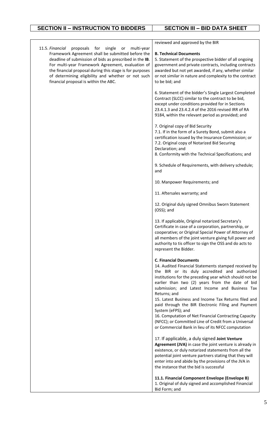### **SECTION II – INSTRUCTION TO BIDDERS SECTION III – BID DATA SHEET**

 $\Box$ 

|                                                                                                                                                                                                                                                                                              | reviewed and approved by the BIR                                                                                                                                                                                                                                                                                                              |
|----------------------------------------------------------------------------------------------------------------------------------------------------------------------------------------------------------------------------------------------------------------------------------------------|-----------------------------------------------------------------------------------------------------------------------------------------------------------------------------------------------------------------------------------------------------------------------------------------------------------------------------------------------|
| 11.5. Financial<br>proposals for single<br>multi-year<br>or<br>Framework Agreement shall be submitted before the<br>deadline of submission of bids as prescribed in the IB.<br>For multi-year Framework Agreement, evaluation of<br>the financial proposal during this stage is for purposes | <b>B. Technical Documents</b><br>5. Statement of the prospective bidder of all ongoing<br>government and private contracts, including contracts<br>awarded but not yet awarded, if any, whether similar                                                                                                                                       |
| of determining eligibility and whether or not such<br>financial proposal is within the ABC.                                                                                                                                                                                                  | or not similar in nature and complexity to the contract<br>to be bid; and                                                                                                                                                                                                                                                                     |
|                                                                                                                                                                                                                                                                                              | 6. Statement of the bidder's Single Largest Completed<br>Contract (SLCC) similar to the contract to be bid,<br>except under conditions provided for in Sections<br>23.4.1.3 and 23.4.2.4 of the 2016 revised IRR of RA<br>9184, within the relevant period as provided; and                                                                   |
|                                                                                                                                                                                                                                                                                              | 7. Original copy of Bid Security<br>7.1. If in the form of a Surety Bond, submit also a<br>certification issued by the Insurance Commission; or<br>7.2. Original copy of Notarized Bid Securing<br>Declaration; and                                                                                                                           |
|                                                                                                                                                                                                                                                                                              | 8. Conformity with the Technical Specifications; and                                                                                                                                                                                                                                                                                          |
|                                                                                                                                                                                                                                                                                              | 9. Schedule of Requirements, with delivery schedule;<br>and                                                                                                                                                                                                                                                                                   |
|                                                                                                                                                                                                                                                                                              | 10. Manpower Requirements; and                                                                                                                                                                                                                                                                                                                |
|                                                                                                                                                                                                                                                                                              | 11. Aftersales warranty; and                                                                                                                                                                                                                                                                                                                  |
|                                                                                                                                                                                                                                                                                              | 12. Original duly signed Omnibus Sworn Statement<br>(OSS); and                                                                                                                                                                                                                                                                                |
|                                                                                                                                                                                                                                                                                              | 13. If applicable, Original notarized Secretary's<br>Certificate in case of a corporation, partnership, or<br>cooperative; or Original Special Power of Attorney of<br>all members of the joint venture giving full power and<br>authority to tis officer to sign the OSS and do acts to<br>represent the Bidder.                             |
|                                                                                                                                                                                                                                                                                              | <b>C. Financial Documents</b>                                                                                                                                                                                                                                                                                                                 |
|                                                                                                                                                                                                                                                                                              | 14. Audited Financial Statements stamped received by<br>the BIR or its duly accredited and authorized<br>institutions for the preceding year which should not be<br>earlier than two (2) years from the date of bid<br>submission; and Latest Income and Business Tax<br>Returns; and<br>15. Latest Business and Income Tax Returns filed and |
|                                                                                                                                                                                                                                                                                              | paid through the BIR Electronic Filing and Payment<br>System (eFPS); and<br>16. Computation of Net Financial Contracting Capacity                                                                                                                                                                                                             |
|                                                                                                                                                                                                                                                                                              | (NFCC); or Committed Line of Credit from a Universal<br>or Commercial Bank in lieu of its NFCC computation                                                                                                                                                                                                                                    |
|                                                                                                                                                                                                                                                                                              | 17. If applicable, a duly signed Joint Venture<br>Agreement (JVA) in case the joint venture is already in<br>existence, or duly notarized statements from all the<br>potential joint venture partners stating that they will<br>enter into and abide by the provisions of the JVA in<br>the instance that the bid is successful               |
|                                                                                                                                                                                                                                                                                              | 11.1. Financial Component Envelope (Envelope B)<br>1. Original of duly signed and accomplished Financial<br>Bid Form; and                                                                                                                                                                                                                     |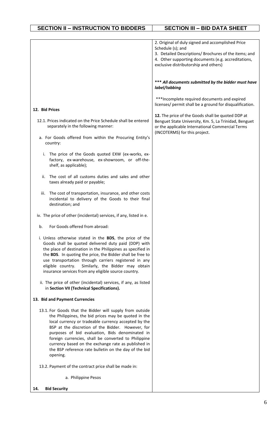| SECTION II - INSTRUCTION TO BIDDERS | <b>SECTION III - BID DATA SHEET</b> |
|-------------------------------------|-------------------------------------|

|                                                                                                                                                                                                                                                                                                                                                                                                                                                                      | 2. Original of duly signed and accomplished Price<br>Schedule (s); and<br>3. Detailed Descriptions/ Brochures of the items; and<br>4. Other supporting documents (e.g. accreditations,<br>exclusive distributorship and others) |
|----------------------------------------------------------------------------------------------------------------------------------------------------------------------------------------------------------------------------------------------------------------------------------------------------------------------------------------------------------------------------------------------------------------------------------------------------------------------|---------------------------------------------------------------------------------------------------------------------------------------------------------------------------------------------------------------------------------|
|                                                                                                                                                                                                                                                                                                                                                                                                                                                                      | *** All documents submitted by the bidder must have<br>label/tabbing                                                                                                                                                            |
| 12. Bid Prices                                                                                                                                                                                                                                                                                                                                                                                                                                                       | *** Incomplete required documents and expired<br>licenses/ permit shall be a ground for disqualification.                                                                                                                       |
| 12.1. Prices indicated on the Price Schedule shall be entered<br>separately in the following manner:                                                                                                                                                                                                                                                                                                                                                                 | 12. The price of the Goods shall be quoted DDP at<br>Benguet State University, Km. 5, La Trinidad, Benguet<br>or the applicable International Commercial Terms                                                                  |
| a. For Goods offered from within the Procuring Entity's<br>country:                                                                                                                                                                                                                                                                                                                                                                                                  | (INCOTERMS) for this project.                                                                                                                                                                                                   |
| The price of the Goods quoted EXW (ex-works, ex-<br>i.<br>factory, ex-warehouse, ex-showroom, or off-the-<br>shelf, as applicable);                                                                                                                                                                                                                                                                                                                                  |                                                                                                                                                                                                                                 |
| The cost of all customs duties and sales and other<br>ii.<br>taxes already paid or payable;                                                                                                                                                                                                                                                                                                                                                                          |                                                                                                                                                                                                                                 |
| The cost of transportation, insurance, and other costs<br>iii.<br>incidental to delivery of the Goods to their final<br>destination; and                                                                                                                                                                                                                                                                                                                             |                                                                                                                                                                                                                                 |
| iv. The price of other (incidental) services, if any, listed in e.                                                                                                                                                                                                                                                                                                                                                                                                   |                                                                                                                                                                                                                                 |
| For Goods offered from abroad:<br>b.                                                                                                                                                                                                                                                                                                                                                                                                                                 |                                                                                                                                                                                                                                 |
| i. Unless otherwise stated in the BDS, the price of the<br>Goods shall be quoted delivered duty paid (DDP) with<br>the place of destination in the Philippines as specified in<br>the BDS. In quoting the price, the Bidder shall be free to<br>use transportation through carriers registered in any<br>eligible country.<br>Similarly, the Bidder may obtain<br>insurance services from any eligible source country.                                               |                                                                                                                                                                                                                                 |
| ii. The price of other (incidental) services, if any, as listed<br>in Section VII (Technical Specifications).                                                                                                                                                                                                                                                                                                                                                        |                                                                                                                                                                                                                                 |
| 13. Bid and Payment Currencies                                                                                                                                                                                                                                                                                                                                                                                                                                       |                                                                                                                                                                                                                                 |
| 13.1. For Goods that the Bidder will supply from outside<br>the Philippines, the bid prices may be quoted in the<br>local currency or tradeable currency accepted by the<br>BSP at the discretion of the Bidder. However, for<br>purposes of bid evaluation, Bids denominated in<br>foreign currencies, shall be converted to Philippine<br>currency based on the exchange rate as published in<br>the BSP reference rate bulletin on the day of the bid<br>opening. |                                                                                                                                                                                                                                 |
| 13.2. Payment of the contract price shall be made in:                                                                                                                                                                                                                                                                                                                                                                                                                |                                                                                                                                                                                                                                 |
| a. Philippine Pesos                                                                                                                                                                                                                                                                                                                                                                                                                                                  |                                                                                                                                                                                                                                 |
| <b>Bid Security</b><br>14.                                                                                                                                                                                                                                                                                                                                                                                                                                           |                                                                                                                                                                                                                                 |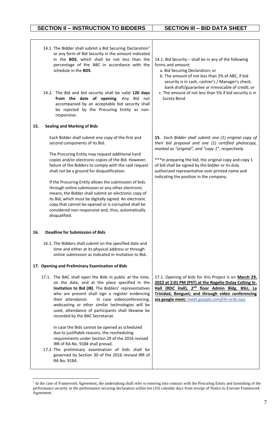### **SECTION II – INSTRUCTION TO BIDDERS SECTION III – BID DATA SHEET**

|     | 14.1. The Bidder shall submit a Bid Securing Declaration <sup>1</sup><br>or any form of Bid Security in the amount indicated<br>in the BDS, which shall be not less than the<br>percentage of the ABC in accordance with the<br>schedule in the BDS.<br>14.2. The Bid and bid security shall be valid 120 days<br>from the date of opening. Any Bid not<br>accompanied by an acceptable bid security shall<br>be rejected by the Procuring Entity as non-                                                                                                                                                                                                              | 14.1. Bid Security - shall be in any of the following<br>forms and amount:<br>a. Bid Securing Declaration; or<br>b. The amount of not less than 2% of ABC, if bid<br>security is in cash, cashier's / Manager's check,<br>bank draft/guarantee or irrevocable of credit; or<br>c. The amount of not less than 5% if bid security is in<br><b>Surety Bond</b>                  |
|-----|------------------------------------------------------------------------------------------------------------------------------------------------------------------------------------------------------------------------------------------------------------------------------------------------------------------------------------------------------------------------------------------------------------------------------------------------------------------------------------------------------------------------------------------------------------------------------------------------------------------------------------------------------------------------|-------------------------------------------------------------------------------------------------------------------------------------------------------------------------------------------------------------------------------------------------------------------------------------------------------------------------------------------------------------------------------|
| 15. | responsive.<br><b>Sealing and Marking of Bids</b>                                                                                                                                                                                                                                                                                                                                                                                                                                                                                                                                                                                                                      |                                                                                                                                                                                                                                                                                                                                                                               |
|     | Each Bidder shall submit one copy of the first and<br>second components of its Bid.<br>The Procuring Entity may request additional hard<br>copies and/or electronic copies of the Bid. However,<br>failure of the Bidders to comply with the said request<br>shall not be a ground for disqualification.<br>If the Procuring Entity allows the submission of bids<br>through online submission or any other electronic<br>means, the Bidder shall submit an electronic copy of<br>its Bid, which must be digitally signed. An electronic<br>copy that cannot be opened or is corrupted shall be<br>considered non-responsive and, thus, automatically<br>disqualified. | 15. Each Bidder shall submit one (1) original copy of<br>their bid proposal and one (1) certified photocopy,<br>marked as "original", and "copy 1", respectively.<br>*** In preparing the bid, the original copy and copy 1<br>of bid shall be signed by the bidder or its duly<br>authorized representative over printed name and<br>indicating the position in the company. |
| 16. | <b>Deadline for Submission of Bids</b>                                                                                                                                                                                                                                                                                                                                                                                                                                                                                                                                                                                                                                 |                                                                                                                                                                                                                                                                                                                                                                               |
|     | 16.1. The Bidders shall submit on the specified date and<br>time and either at its physical address or through<br>online submission as indicated in Invitation to Bid.                                                                                                                                                                                                                                                                                                                                                                                                                                                                                                 |                                                                                                                                                                                                                                                                                                                                                                               |
|     | 17. Opening and Preliminary Examination of Bids                                                                                                                                                                                                                                                                                                                                                                                                                                                                                                                                                                                                                        |                                                                                                                                                                                                                                                                                                                                                                               |
|     | 17.1. The BAC shall open the Bids in public at the time,<br>on the date, and at the place specified in the<br>Invitation to Bid (IB). The Bidders' representatives<br>who are present shall sign a register evidencing<br>their attendance.<br>In case videoconferencing,<br>webcasting or other similar technologies will be<br>used, attendance of participants shall likewise be<br>recorded by the BAC Secretariat.                                                                                                                                                                                                                                                | 17.1. Opening of bids for this Project is on March 29,<br>2022 at 2:01 PM (PST) at the Rogelio Dulay Colting Sr.<br>Hall (RDC Hall), 2 <sup>nd</sup> floor Admin Bldg. BSU, La<br>Trinidad, Benguet; and through video conferencing<br>via google meet: meet.google.com/iih-nrds-cpo                                                                                          |
|     | In case the Bids cannot be opened as scheduled<br>due to justifiable reasons, the rescheduling<br>requirements under Section 29 of the 2016 revised<br>IRR of RA No. 9184 shall prevail.<br>17.2. The preliminary examination of bids shall be<br>governed by Section 30 of the 2016 revised IRR of<br>RA No. 9184.                                                                                                                                                                                                                                                                                                                                                    |                                                                                                                                                                                                                                                                                                                                                                               |

<sup>&</sup>lt;sup>1</sup> In the case of Framework Agreement, the undertaking shall refer to entering into contract with the Procuring Entity and furnishing of the performance security or the performance securing declaration within ten (10) calendar days from receipt of Notice to Execute Framework Agreement.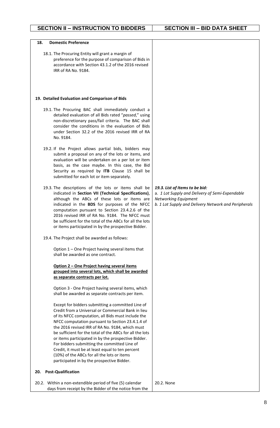| 18.<br><b>Domestic Preference</b>                                                                                                                                                                                                                                                                                                                                                                                                                                                                                                                                                                                            |                                                                                                                                                                   |
|------------------------------------------------------------------------------------------------------------------------------------------------------------------------------------------------------------------------------------------------------------------------------------------------------------------------------------------------------------------------------------------------------------------------------------------------------------------------------------------------------------------------------------------------------------------------------------------------------------------------------|-------------------------------------------------------------------------------------------------------------------------------------------------------------------|
|                                                                                                                                                                                                                                                                                                                                                                                                                                                                                                                                                                                                                              |                                                                                                                                                                   |
| 18.1. The Procuring Entity will grant a margin of<br>preference for the purpose of comparison of Bids in<br>accordance with Section 43.1.2 of the 2016 revised<br>IRR of RA No. 9184.                                                                                                                                                                                                                                                                                                                                                                                                                                        |                                                                                                                                                                   |
| 19. Detailed Evaluation and Comparison of Bids                                                                                                                                                                                                                                                                                                                                                                                                                                                                                                                                                                               |                                                                                                                                                                   |
| 19.1. The Procuring BAC shall immediately conduct a<br>detailed evaluation of all Bids rated "passed," using<br>non-discretionary pass/fail criteria. The BAC shall<br>consider the conditions in the evaluation of Bids<br>under Section 32.2 of the 2016 revised IRR of RA<br>No. 9184.                                                                                                                                                                                                                                                                                                                                    |                                                                                                                                                                   |
| 19.2. If the Project allows partial bids, bidders may<br>submit a proposal on any of the lots or items, and<br>evaluation will be undertaken on a per lot or item<br>basis, as the case maybe. In this case, the Bid<br>Security as required by ITB Clause 15 shall be<br>submitted for each lot or item separately.                                                                                                                                                                                                                                                                                                         |                                                                                                                                                                   |
| 19.3. The descriptions of the lots or items shall be<br>indicated in Section VII (Technical Specifications),<br>although the ABCs of these lots or items are<br>indicated in the BDS for purposes of the NFCC<br>computation pursuant to Section 23.4.2.6 of the<br>2016 revised IRR of RA No. 9184. The NFCC must<br>be sufficient for the total of the ABCs for all the lots<br>or items participated in by the prospective Bidder.                                                                                                                                                                                        | 19.3. List of Items to be bid:<br>a. 1 Lot Supply and Delivery of Semi-Expendable<br>Networking Equipment<br>b. 1 Lot Supply and Delivery Network and Peripherals |
| 19.4. The Project shall be awarded as follows:                                                                                                                                                                                                                                                                                                                                                                                                                                                                                                                                                                               |                                                                                                                                                                   |
| Option 1 - One Project having several items that<br>shall be awarded as one contract.                                                                                                                                                                                                                                                                                                                                                                                                                                                                                                                                        |                                                                                                                                                                   |
| Option 2 - One Project having several items<br>grouped into several lots, which shall be awarded<br>as separate contracts per lot.                                                                                                                                                                                                                                                                                                                                                                                                                                                                                           |                                                                                                                                                                   |
| Option 3 - One Project having several items, which<br>shall be awarded as separate contracts per item.                                                                                                                                                                                                                                                                                                                                                                                                                                                                                                                       |                                                                                                                                                                   |
| Except for bidders submitting a committed Line of<br>Credit from a Universal or Commercial Bank in lieu<br>of its NFCC computation, all Bids must include the<br>NFCC computation pursuant to Section 23.4.1.4 of<br>the 2016 revised IRR of RA No. 9184, which must<br>be sufficient for the total of the ABCs for all the lots<br>or items participated in by the prospective Bidder.<br>For bidders submitting the committed Line of<br>Credit, it must be at least equal to ten percent<br>(10%) of the ABCs for all the lots or items<br>participated in by the prospective Bidder.<br><b>Post-Qualification</b><br>20. |                                                                                                                                                                   |
| 20.2. Within a non-extendible period of five (5) calendar<br>days from receipt by the Bidder of the notice from the                                                                                                                                                                                                                                                                                                                                                                                                                                                                                                          | 20.2. None                                                                                                                                                        |